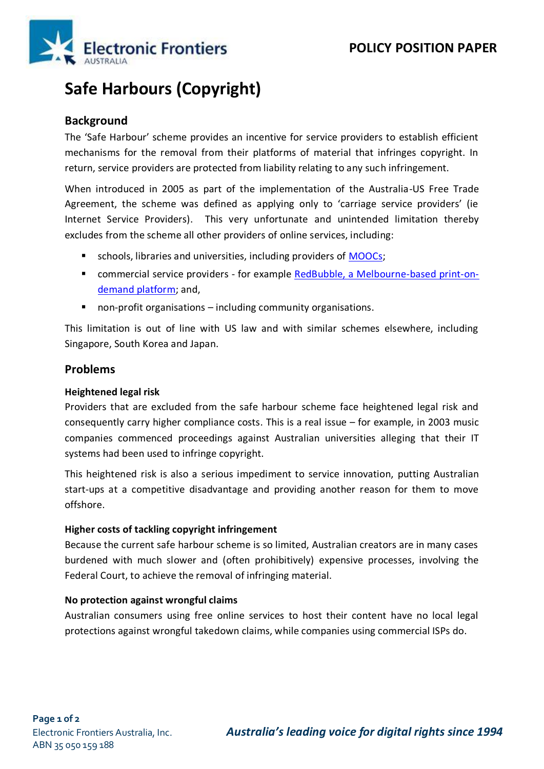

# **Safe Harbours (Copyright)**

# **Background**

The 'Safe Harbour' scheme provides an incentive for service providers to establish efficient mechanisms for the removal from their platforms of material that infringes copyright. In return, service providers are protected from liability relating to any such infringement.

When introduced in 2005 as part of the implementation of the Australia-US Free Trade Agreement, the scheme was defined as applying only to 'carriage service providers' (ie Internet Service Providers). This very unfortunate and unintended limitation thereby excludes from the scheme all other providers of online services, including:

- schools, libraries and universities, including providers of [MOOCs;](https://en.wikipedia.org/wiki/Massive_open_online_course)
- commercial service providers for example [RedBubble, a Melbourne-based print-on](http://www.theaustralian.com.au/business/technology/redbubble-seeks-a-safe-harbour/news-story/306d40281f23ddca4df6b3561f487f29)[demand platform;](http://www.theaustralian.com.au/business/technology/redbubble-seeks-a-safe-harbour/news-story/306d40281f23ddca4df6b3561f487f29) and,
- non-profit organisations including community organisations.

This limitation is out of line with US law and with similar schemes elsewhere, including Singapore, South Korea and Japan.

## **Problems**

#### **Heightened legal risk**

Providers that are excluded from the safe harbour scheme face heightened legal risk and consequently carry higher compliance costs. This is a real issue – for example, in 2003 music companies commenced proceedings against Australian universities alleging that their IT systems had been used to infringe copyright.

This heightened risk is also a serious impediment to service innovation, putting Australian start-ups at a competitive disadvantage and providing another reason for them to move offshore.

#### **Higher costs of tackling copyright infringement**

Because the current safe harbour scheme is so limited, Australian creators are in many cases burdened with much slower and (often prohibitively) expensive processes, involving the Federal Court, to achieve the removal of infringing material.

#### **No protection against wrongful claims**

Australian consumers using free online services to host their content have no local legal protections against wrongful takedown claims, while companies using commercial ISPs do.